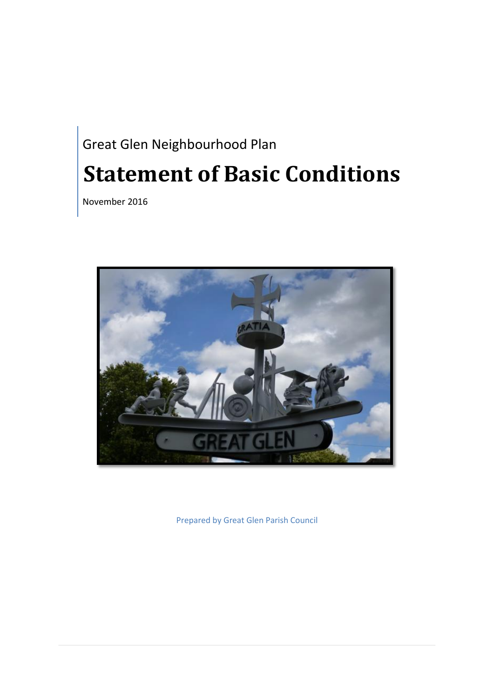# Great Glen Neighbourhood Plan **Statement of Basic Conditions**

November 2016



Prepared by Great Glen Parish Council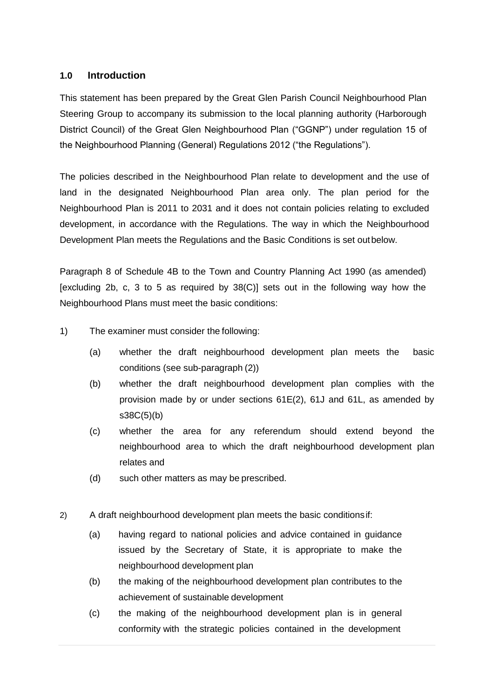#### **1.0 Introduction**

This statement has been prepared by the Great Glen Parish Council Neighbourhood Plan Steering Group to accompany its submission to the local planning authority (Harborough District Council) of the Great Glen Neighbourhood Plan ("GGNP") under regulation 15 of the Neighbourhood Planning (General) Regulations 2012 ("the Regulations").

The policies described in the Neighbourhood Plan relate to development and the use of land in the designated Neighbourhood Plan area only. The plan period for the Neighbourhood Plan is 2011 to 2031 and it does not contain policies relating to excluded development, in accordance with the Regulations. The way in which the Neighbourhood Development Plan meets the Regulations and the Basic Conditions is set outbelow.

Paragraph 8 of Schedule 4B to the Town and Country Planning Act 1990 (as amended) [excluding 2b, c, 3 to 5 as required by 38(C)] sets out in the following way how the Neighbourhood Plans must meet the basic conditions:

- 1) The examiner must consider the following:
	- (a) whether the draft neighbourhood development plan meets the basic conditions (see sub-paragraph (2))
	- (b) whether the draft neighbourhood development plan complies with the provision made by or under sections 61E(2), 61J and 61L, as amended by  $s38C(5)(b)$
	- (c) whether the area for any referendum should extend beyond the neighbourhood area to which the draft neighbourhood development plan relates and
	- (d) such other matters as may be prescribed.
- 2) A draft neighbourhood development plan meets the basic conditionsif:
	- (a) having regard to national policies and advice contained in guidance issued by the Secretary of State, it is appropriate to make the neighbourhood development plan
	- (b) the making of the neighbourhood development plan contributes to the achievement of sustainable development
	- (c) the making of the neighbourhood development plan is in general conformity with the strategic policies contained in the development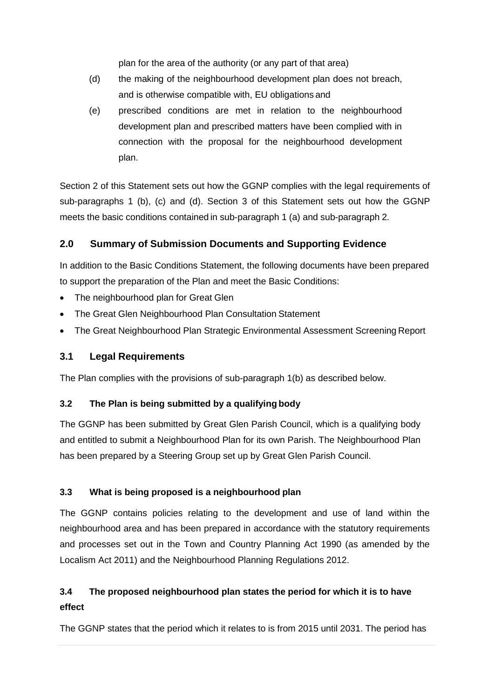plan for the area of the authority (or any part of that area)

- (d) the making of the neighbourhood development plan does not breach, and is otherwise compatible with, EU obligations and
- (e) prescribed conditions are met in relation to the neighbourhood development plan and prescribed matters have been complied with in connection with the proposal for the neighbourhood development plan.

Section 2 of this Statement sets out how the GGNP complies with the legal requirements of sub-paragraphs 1 (b), (c) and (d). Section 3 of this Statement sets out how the GGNP meets the basic conditions contained in sub-paragraph 1 (a) and sub-paragraph 2.

## **2.0 Summary of Submission Documents and Supporting Evidence**

In addition to the Basic Conditions Statement, the following documents have been prepared to support the preparation of the Plan and meet the Basic Conditions:

- The neighbourhood plan for Great Glen
- The Great Glen Neighbourhood Plan Consultation Statement
- The Great Neighbourhood Plan Strategic Environmental Assessment Screening Report

## **3.1 Legal Requirements**

The Plan complies with the provisions of sub-paragraph 1(b) as described below.

#### **3.2 The Plan is being submitted by a qualifying body**

The GGNP has been submitted by Great Glen Parish Council, which is a qualifying body and entitled to submit a Neighbourhood Plan for its own Parish. The Neighbourhood Plan has been prepared by a Steering Group set up by Great Glen Parish Council.

## **3.3 What is being proposed is a neighbourhood plan**

The GGNP contains policies relating to the development and use of land within the neighbourhood area and has been prepared in accordance with the statutory requirements and processes set out in the Town and Country Planning Act 1990 (as amended by the Localism Act 2011) and the Neighbourhood Planning Regulations 2012.

# **3.4 The proposed neighbourhood plan states the period for which it is to have effect**

The GGNP states that the period which it relates to is from 2015 until 2031. The period has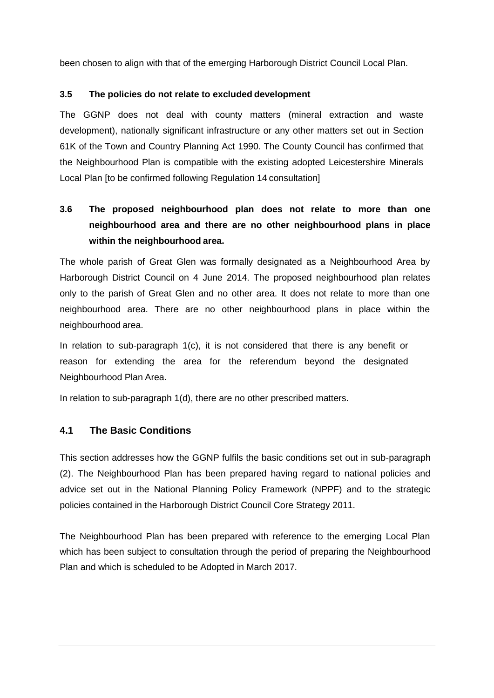been chosen to align with that of the emerging Harborough District Council Local Plan.

#### **3.5 The policies do not relate to excluded development**

The GGNP does not deal with county matters (mineral extraction and waste development), nationally significant infrastructure or any other matters set out in Section 61K of the Town and Country Planning Act 1990. The County Council has confirmed that the Neighbourhood Plan is compatible with the existing adopted Leicestershire Minerals Local Plan [to be confirmed following Regulation 14 consultation]

# **3.6 The proposed neighbourhood plan does not relate to more than one neighbourhood area and there are no other neighbourhood plans in place within the neighbourhood area.**

The whole parish of Great Glen was formally designated as a Neighbourhood Area by Harborough District Council on 4 June 2014. The proposed neighbourhood plan relates only to the parish of Great Glen and no other area. It does not relate to more than one neighbourhood area. There are no other neighbourhood plans in place within the neighbourhood area.

In relation to sub-paragraph 1(c), it is not considered that there is any benefit or reason for extending the area for the referendum beyond the designated Neighbourhood Plan Area.

In relation to sub-paragraph 1(d), there are no other prescribed matters.

#### **4.1 The Basic Conditions**

This section addresses how the GGNP fulfils the basic conditions set out in sub-paragraph (2). The Neighbourhood Plan has been prepared having regard to national policies and advice set out in the National Planning Policy Framework (NPPF) and to the strategic policies contained in the Harborough District Council Core Strategy 2011.

The Neighbourhood Plan has been prepared with reference to the emerging Local Plan which has been subject to consultation through the period of preparing the Neighbourhood Plan and which is scheduled to be Adopted in March 2017.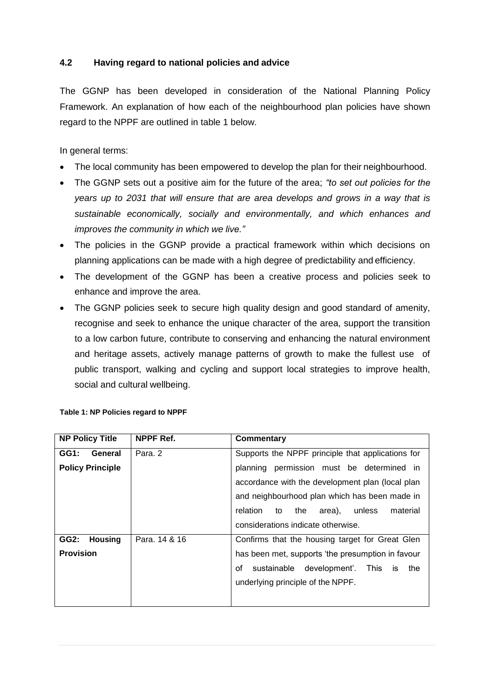#### **4.2 Having regard to national policies and advice**

The GGNP has been developed in consideration of the National Planning Policy Framework. An explanation of how each of the neighbourhood plan policies have shown regard to the NPPF are outlined in table 1 below.

In general terms:

- The local community has been empowered to develop the plan for their neighbourhood.
- The GGNP sets out a positive aim for the future of the area; *"to set out policies for the years up to 2031 that will ensure that are area develops and grows in a way that is sustainable economically, socially and environmentally, and which enhances and improves the community in which we live."*
- The policies in the GGNP provide a practical framework within which decisions on planning applications can be made with a high degree of predictability and efficiency.
- The development of the GGNP has been a creative process and policies seek to enhance and improve the area.
- The GGNP policies seek to secure high quality design and good standard of amenity, recognise and seek to enhance the unique character of the area, support the transition to a low carbon future, contribute to conserving and enhancing the natural environment and heritage assets, actively manage patterns of growth to make the fullest use of public transport, walking and cycling and support local strategies to improve health, social and cultural wellbeing.

| <b>NP Policy Title</b>  | NPPF Ref.     | Commentary                                               |
|-------------------------|---------------|----------------------------------------------------------|
| General<br>GG1:         | Para, 2       | Supports the NPPF principle that applications for        |
| <b>Policy Principle</b> |               | permission must be determined in<br>planning             |
|                         |               | accordance with the development plan (local plan         |
|                         |               | and neighbourhood plan which has been made in            |
|                         |               | relation to<br>the area),<br>material<br>unless          |
|                         |               | considerations indicate otherwise.                       |
| GG2:<br><b>Housing</b>  | Para, 14 & 16 | Confirms that the housing target for Great Glen          |
| <b>Provision</b>        |               | has been met, supports 'the presumption in favour        |
|                         |               | sustainable development'. This<br>the<br>οf<br><b>is</b> |
|                         |               | underlying principle of the NPPF.                        |
|                         |               |                                                          |

#### **Table 1: NP Policies regard to NPPF**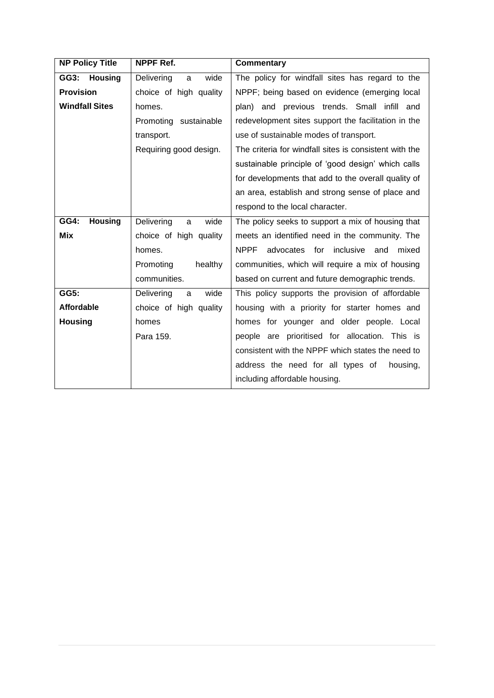| <b>NP Policy Title</b> | NPPF Ref.               | Commentary                                             |  |
|------------------------|-------------------------|--------------------------------------------------------|--|
| GG3:<br><b>Housing</b> | wide<br>Delivering<br>a | The policy for windfall sites has regard to the        |  |
| <b>Provision</b>       | choice of high quality  | NPPF; being based on evidence (emerging local          |  |
| <b>Windfall Sites</b>  | homes.                  | plan) and previous trends. Small infill and            |  |
|                        | Promoting sustainable   | redevelopment sites support the facilitation in the    |  |
|                        | transport.              | use of sustainable modes of transport.                 |  |
|                        | Requiring good design.  | The criteria for windfall sites is consistent with the |  |
|                        |                         | sustainable principle of 'good design' which calls     |  |
|                        |                         | for developments that add to the overall quality of    |  |
|                        |                         | an area, establish and strong sense of place and       |  |
|                        |                         | respond to the local character.                        |  |
| <b>Housing</b><br>GG4: | Delivering<br>wide<br>a | The policy seeks to support a mix of housing that      |  |
| Mix                    | choice of high quality  | meets an identified need in the community. The         |  |
|                        | homes.                  | <b>NPPF</b><br>advocates for inclusive and mixed       |  |
|                        | Promoting<br>healthy    | communities, which will require a mix of housing       |  |
|                        | communities.            | based on current and future demographic trends.        |  |
| GG5:                   | Delivering<br>wide<br>a | This policy supports the provision of affordable       |  |
| <b>Affordable</b>      | choice of high quality  | housing with a priority for starter homes and          |  |
| <b>Housing</b>         | homes                   | homes for younger and older people. Local              |  |
|                        | Para 159.               | people are prioritised for allocation. This is         |  |
|                        |                         | consistent with the NPPF which states the need to      |  |
|                        |                         | address the need for all types of<br>housing,          |  |
|                        |                         | including affordable housing.                          |  |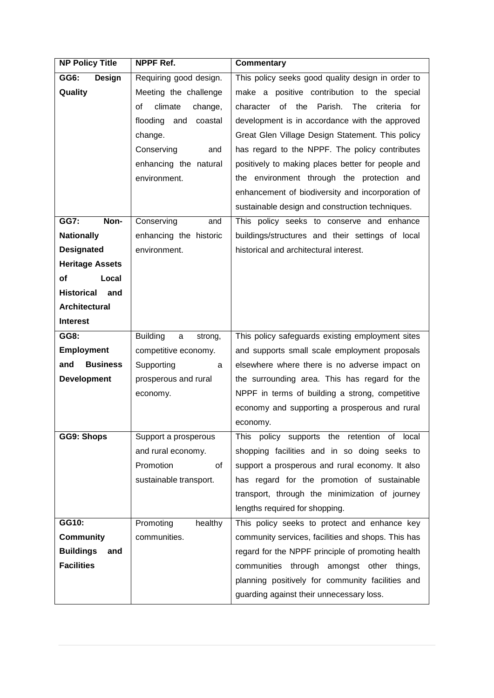| <b>NP Policy Title</b>   | NPPF Ref.                                  | <b>Commentary</b>                                           |
|--------------------------|--------------------------------------------|-------------------------------------------------------------|
| GG6:<br>Design           | Requiring good design.                     | This policy seeks good quality design in order to           |
| Quality                  | Meeting the challenge                      | make a positive contribution to the special                 |
|                          | climate<br>οf<br>change,                   | of<br>the<br>Parish.<br>The<br>character<br>criteria<br>for |
|                          | flooding<br>and<br>coastal                 | development is in accordance with the approved              |
|                          | change.                                    | Great Glen Village Design Statement. This policy            |
|                          | Conserving<br>and                          | has regard to the NPPF. The policy contributes              |
|                          | enhancing the natural                      | positively to making places better for people and           |
|                          | environment.                               | the environment through the protection and                  |
|                          |                                            | enhancement of biodiversity and incorporation of            |
|                          |                                            | sustainable design and construction techniques.             |
| GG7:<br>Non-             | Conserving<br>and                          | This policy seeks to conserve and enhance                   |
| <b>Nationally</b>        | enhancing the historic                     | buildings/structures and their settings of local            |
| <b>Designated</b>        | environment.                               | historical and architectural interest.                      |
| <b>Heritage Assets</b>   |                                            |                                                             |
| of<br>Local              |                                            |                                                             |
| <b>Historical</b><br>and |                                            |                                                             |
| Architectural            |                                            |                                                             |
| <b>Interest</b>          |                                            |                                                             |
| GG8:                     | <b>Building</b><br>$\mathsf{a}$<br>strong, | This policy safeguards existing employment sites            |
| <b>Employment</b>        | competitive economy.                       | and supports small scale employment proposals               |
| <b>Business</b><br>and   | Supporting<br>a                            | elsewhere where there is no adverse impact on               |
| <b>Development</b>       | prosperous and rural                       | the surrounding area. This has regard for the               |
|                          | economy.                                   | NPPF in terms of building a strong, competitive             |
|                          |                                            | economy and supporting a prosperous and rural               |
|                          |                                            | economy.                                                    |
| GG9: Shops               | Support a prosperous                       | This policy supports the retention of local                 |
|                          | and rural economy.                         | shopping facilities and in so doing seeks to                |
|                          | Promotion<br>of                            | support a prosperous and rural economy. It also             |
|                          | sustainable transport.                     | has regard for the promotion of sustainable                 |
|                          |                                            | transport, through the minimization of journey              |
|                          |                                            | lengths required for shopping.                              |
| GG10:                    | Promoting<br>healthy                       | This policy seeks to protect and enhance key                |
| <b>Community</b>         | communities.                               | community services, facilities and shops. This has          |
| <b>Buildings</b><br>and  |                                            | regard for the NPPF principle of promoting health           |
| <b>Facilities</b>        |                                            | communities through amongst other things,                   |
|                          |                                            | planning positively for community facilities and            |
|                          |                                            | guarding against their unnecessary loss.                    |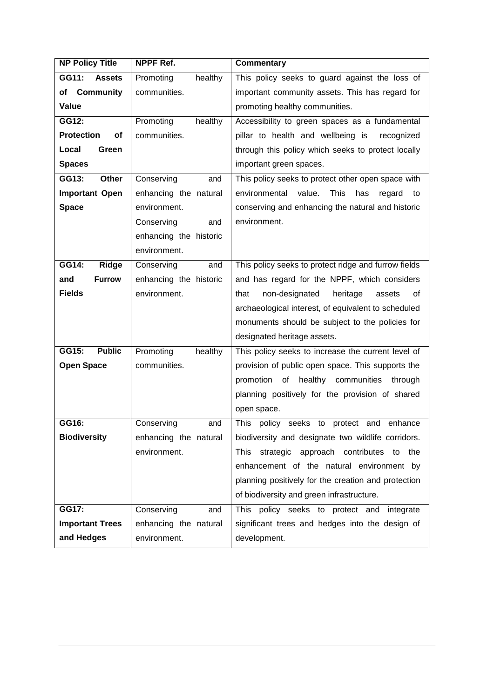| <b>NP Policy Title</b>  | NPPF Ref.<br><b>Commentary</b> |                                                            |  |
|-------------------------|--------------------------------|------------------------------------------------------------|--|
| GG11:<br><b>Assets</b>  | Promoting<br>healthy           | This policy seeks to guard against the loss of             |  |
| of Community            | communities.                   | important community assets. This has regard for            |  |
| Value                   |                                | promoting healthy communities.                             |  |
| GG12:                   | healthy<br>Promoting           | Accessibility to green spaces as a fundamental             |  |
| <b>Protection</b><br>οf | communities.                   | pillar to health and wellbeing is<br>recognized            |  |
| Local<br>Green          |                                | through this policy which seeks to protect locally         |  |
| <b>Spaces</b>           |                                | important green spaces.                                    |  |
| GG13:<br>Other          | Conserving<br>and              | This policy seeks to protect other open space with         |  |
| <b>Important Open</b>   | enhancing the natural          | environmental value.<br><b>This</b><br>has<br>regard<br>to |  |
| <b>Space</b>            | environment.                   | conserving and enhancing the natural and historic          |  |
|                         | Conserving<br>and              | environment.                                               |  |
|                         | enhancing the historic         |                                                            |  |
|                         | environment.                   |                                                            |  |
| GG14:<br><b>Ridge</b>   | Conserving<br>and              | This policy seeks to protect ridge and furrow fields       |  |
| and<br><b>Furrow</b>    | enhancing the historic         | and has regard for the NPPF, which considers               |  |
| <b>Fields</b>           | environment.                   | that<br>non-designated<br>heritage<br>assets<br>οf         |  |
|                         |                                | archaeological interest, of equivalent to scheduled        |  |
|                         |                                | monuments should be subject to the policies for            |  |
|                         |                                | designated heritage assets.                                |  |
| <b>Public</b><br>GG15:  | Promoting<br>healthy           | This policy seeks to increase the current level of         |  |
| <b>Open Space</b>       | communities.                   | provision of public open space. This supports the          |  |
|                         |                                | promotion<br>of<br>healthy communities<br>through          |  |
|                         |                                | planning positively for the provision of shared            |  |
|                         |                                | open space.                                                |  |
| GG16:                   | Conserving<br>and              | This policy seeks<br>enhance<br>to<br>protect<br>and       |  |
| <b>Biodiversity</b>     | enhancing the natural          | biodiversity and designate two wildlife corridors.         |  |
|                         | environment.                   | strategic approach contributes<br>This<br>the<br>to        |  |
|                         |                                | enhancement of the natural environment by                  |  |
|                         |                                | planning positively for the creation and protection        |  |
|                         |                                | of biodiversity and green infrastructure.                  |  |
| GG17:                   | Conserving<br>and              | This policy seeks to protect and integrate                 |  |
| <b>Important Trees</b>  | enhancing the natural          | significant trees and hedges into the design of            |  |
| and Hedges              | environment.                   | development.                                               |  |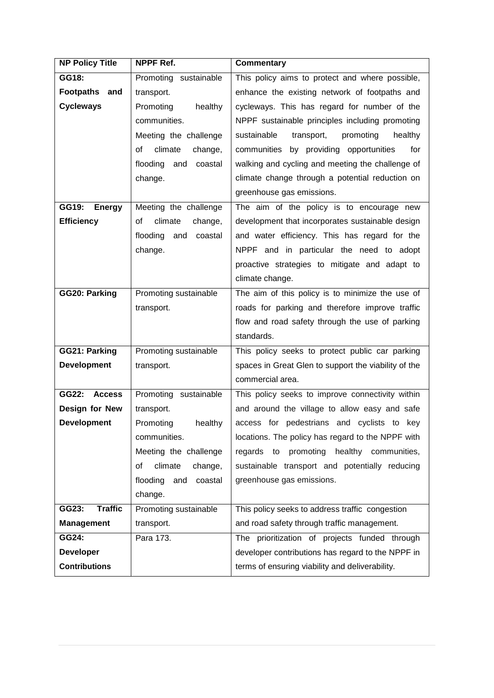| <b>NP Policy Title</b>  | NPPF Ref.                  | <b>Commentary</b>                                    |
|-------------------------|----------------------------|------------------------------------------------------|
| GG18:                   | Promoting sustainable      | This policy aims to protect and where possible,      |
| Footpaths and           | transport.                 | enhance the existing network of footpaths and        |
| <b>Cycleways</b>        | healthy<br>Promoting       | cycleways. This has regard for number of the         |
|                         | communities.               | NPPF sustainable principles including promoting      |
|                         | Meeting the challenge      | sustainable<br>transport,<br>promoting<br>healthy    |
|                         | οf<br>climate<br>change,   | communities by providing opportunities<br>for        |
|                         | flooding<br>and coastal    | walking and cycling and meeting the challenge of     |
|                         | change.                    | climate change through a potential reduction on      |
|                         |                            | greenhouse gas emissions.                            |
| GG19:<br><b>Energy</b>  | Meeting the challenge      | The aim of the policy is to encourage new            |
| <b>Efficiency</b>       | climate<br>change,<br>οf   | development that incorporates sustainable design     |
|                         | flooding<br>and<br>coastal | and water efficiency. This has regard for the        |
|                         | change.                    | NPPF and in particular the need to adopt             |
|                         |                            | proactive strategies to mitigate and adapt to        |
|                         |                            | climate change.                                      |
| GG20: Parking           | Promoting sustainable      | The aim of this policy is to minimize the use of     |
|                         | transport.                 | roads for parking and therefore improve traffic      |
|                         |                            | flow and road safety through the use of parking      |
|                         |                            | standards.                                           |
| GG21: Parking           | Promoting sustainable      | This policy seeks to protect public car parking      |
| <b>Development</b>      | transport.                 | spaces in Great Glen to support the viability of the |
|                         |                            | commercial area.                                     |
| GG22:<br><b>Access</b>  | Promoting sustainable      | This policy seeks to improve connectivity within     |
| Design for New          | transport.                 | and around the village to allow easy and safe        |
| <b>Development</b>      | Promoting<br>healthy       | access for pedestrians and cyclists to key           |
|                         | communities.               | locations. The policy has regard to the NPPF with    |
|                         | Meeting the challenge      | promoting<br>healthy communities,<br>regards to      |
|                         | climate<br>οf<br>change,   | sustainable transport and potentially reducing       |
|                         | flooding<br>and<br>coastal | greenhouse gas emissions.                            |
|                         | change.                    |                                                      |
| <b>Traffic</b><br>GG23: | Promoting sustainable      | This policy seeks to address traffic congestion      |
| <b>Management</b>       | transport.                 | and road safety through traffic management.          |
| GG24:                   | Para 173.                  | The prioritization of projects funded through        |
| <b>Developer</b>        |                            | developer contributions has regard to the NPPF in    |
| <b>Contributions</b>    |                            | terms of ensuring viability and deliverability.      |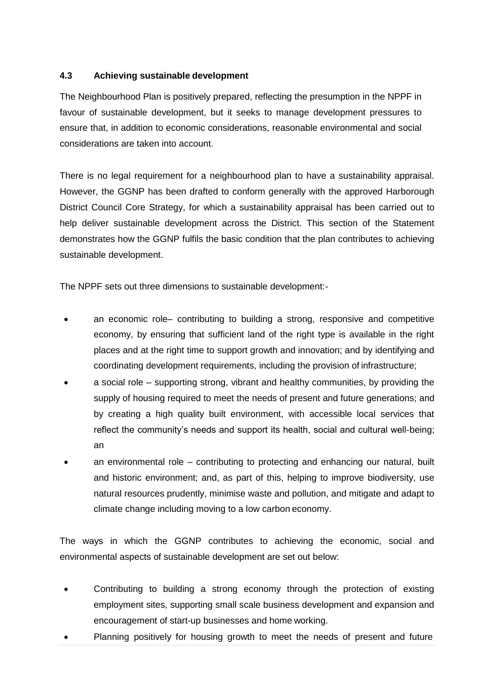#### **4.3 Achieving sustainable development**

The Neighbourhood Plan is positively prepared, reflecting the presumption in the NPPF in favour of sustainable development, but it seeks to manage development pressures to ensure that, in addition to economic considerations, reasonable environmental and social considerations are taken into account.

There is no legal requirement for a neighbourhood plan to have a sustainability appraisal. However, the GGNP has been drafted to conform generally with the approved Harborough District Council Core Strategy, for which a sustainability appraisal has been carried out to help deliver sustainable development across the District. This section of the Statement demonstrates how the GGNP fulfils the basic condition that the plan contributes to achieving sustainable development.

The NPPF sets out three dimensions to sustainable development:-

- an economic role– contributing to building a strong, responsive and competitive economy, by ensuring that sufficient land of the right type is available in the right places and at the right time to support growth and innovation; and by identifying and coordinating development requirements, including the provision of infrastructure;
- a social role supporting strong, vibrant and healthy communities, by providing the supply of housing required to meet the needs of present and future generations; and by creating a high quality built environment, with accessible local services that reflect the community's needs and support its health, social and cultural well-being; an
- an environmental role contributing to protecting and enhancing our natural, built and historic environment; and, as part of this, helping to improve biodiversity, use natural resources prudently, minimise waste and pollution, and mitigate and adapt to climate change including moving to a low carbon economy.

The ways in which the GGNP contributes to achieving the economic, social and environmental aspects of sustainable development are set out below:

- Contributing to building a strong economy through the protection of existing employment sites, supporting small scale business development and expansion and encouragement of start-up businesses and home working.
- Planning positively for housing growth to meet the needs of present and future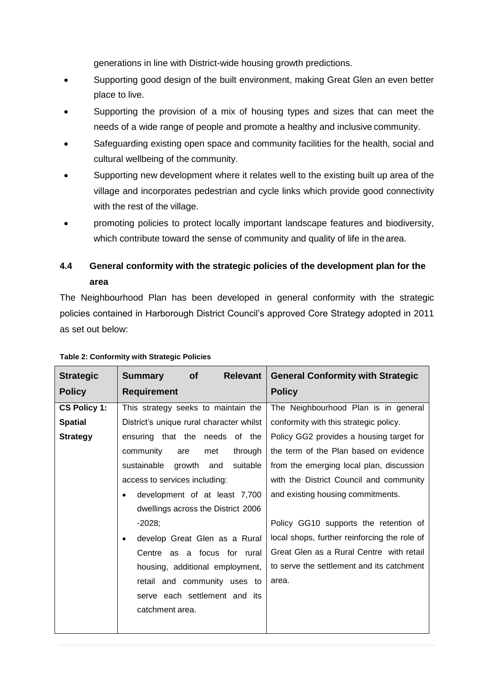generations in line with District-wide housing growth predictions.

- Supporting good design of the built environment, making Great Glen an even better place to live.
- Supporting the provision of a mix of housing types and sizes that can meet the needs of a wide range of people and promote a healthy and inclusive community.
- Safeguarding existing open space and community facilities for the health, social and cultural wellbeing of the community.
- Supporting new development where it relates well to the existing built up area of the village and incorporates pedestrian and cycle links which provide good connectivity with the rest of the village.
- promoting policies to protect locally important landscape features and biodiversity, which contribute toward the sense of community and quality of life in the area.

# **4.4 General conformity with the strategic policies of the development plan for the area**

The Neighbourhood Plan has been developed in general conformity with the strategic policies contained in Harborough District Council's approved Core Strategy adopted in 2011 as set out below:

| <b>Strategic</b>    | <b>Relevant</b><br><b>Summary</b><br><b>of</b> | <b>General Conformity with Strategic</b>     |
|---------------------|------------------------------------------------|----------------------------------------------|
| <b>Policy</b>       | <b>Requirement</b>                             | <b>Policy</b>                                |
| <b>CS Policy 1:</b> | This strategy seeks to maintain the            | The Neighbourhood Plan is in general         |
| <b>Spatial</b>      | District's unique rural character whilst       | conformity with this strategic policy.       |
| <b>Strategy</b>     | ensuring that the needs of the                 | Policy GG2 provides a housing target for     |
|                     | community<br>through<br>are<br>met             | the term of the Plan based on evidence       |
|                     | sustainable<br>growth and<br>suitable          | from the emerging local plan, discussion     |
|                     | access to services including:                  | with the District Council and community      |
|                     | development of at least 7,700<br>$\bullet$     | and existing housing commitments.            |
|                     | dwellings across the District 2006             |                                              |
|                     | $-2028;$                                       | Policy GG10 supports the retention of        |
|                     | develop Great Glen as a Rural<br>$\bullet$     | local shops, further reinforcing the role of |
|                     | Centre as a focus for rural                    | Great Glen as a Rural Centre with retail     |
|                     | housing, additional employment,                | to serve the settlement and its catchment    |
|                     | retail and community uses to                   | area.                                        |
|                     | serve each settlement and its                  |                                              |
|                     | catchment area.                                |                                              |
|                     |                                                |                                              |

#### **Table 2: Conformity with Strategic Policies**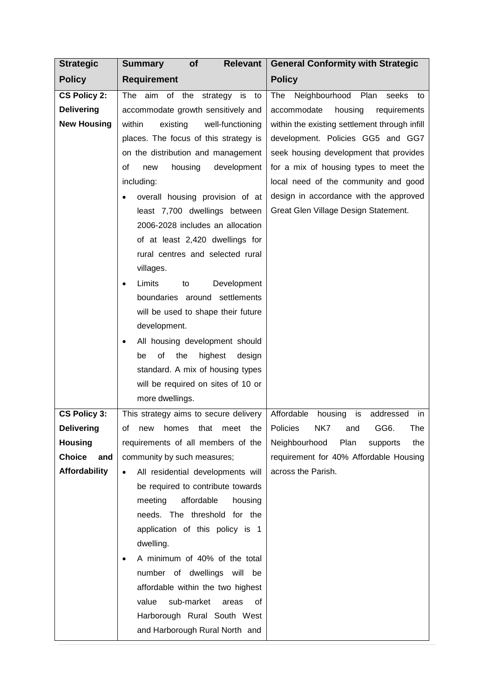| <b>Strategic</b>                                               | of<br><b>Relevant</b><br><b>Summary</b>                                                                                                                                                                                                                                                                                                                                                                                  | <b>General Conformity with Strategic</b>                                                                                                                                                                                                                                                                                                                                                  |
|----------------------------------------------------------------|--------------------------------------------------------------------------------------------------------------------------------------------------------------------------------------------------------------------------------------------------------------------------------------------------------------------------------------------------------------------------------------------------------------------------|-------------------------------------------------------------------------------------------------------------------------------------------------------------------------------------------------------------------------------------------------------------------------------------------------------------------------------------------------------------------------------------------|
| <b>Policy</b>                                                  | <b>Requirement</b>                                                                                                                                                                                                                                                                                                                                                                                                       | <b>Policy</b>                                                                                                                                                                                                                                                                                                                                                                             |
| <b>CS Policy 2:</b><br><b>Delivering</b><br><b>New Housing</b> | The aim of the strategy is<br>to<br>accommodate growth sensitively and<br>within<br>existing<br>well-functioning<br>places. The focus of this strategy is<br>on the distribution and management<br>housing<br>οf<br>development<br>new<br>including:<br>overall housing provision of at<br>least 7,700 dwellings between<br>2006-2028 includes an allocation<br>of at least 2,420 dwellings for                          | Neighbourhood<br>Plan<br>The<br>seeks<br>to<br>accommodate<br>housing<br>requirements<br>within the existing settlement through infill<br>development. Policies GG5 and GG7<br>seek housing development that provides<br>for a mix of housing types to meet the<br>local need of the community and good<br>design in accordance with the approved<br>Great Glen Village Design Statement. |
|                                                                | rural centres and selected rural<br>villages.<br>Limits<br>Development<br>to<br>٠<br>boundaries around settlements<br>will be used to shape their future<br>development.<br>All housing development should<br>٠<br>of<br>highest<br>the<br>design<br>be<br>standard. A mix of housing types<br>will be required on sites of 10 or<br>more dwellings.                                                                     |                                                                                                                                                                                                                                                                                                                                                                                           |
| CS Policy 3:                                                   | This strategy aims to secure delivery                                                                                                                                                                                                                                                                                                                                                                                    | Affordable<br>is<br>housing<br>addressed<br>in                                                                                                                                                                                                                                                                                                                                            |
| <b>Delivering</b>                                              | of new homes that meet the Policies NK7 and                                                                                                                                                                                                                                                                                                                                                                              | GG6.<br>The                                                                                                                                                                                                                                                                                                                                                                               |
| <b>Housing</b>                                                 | requirements of all members of the                                                                                                                                                                                                                                                                                                                                                                                       | Neighbourhood<br>Plan<br>supports<br>the                                                                                                                                                                                                                                                                                                                                                  |
| <b>Choice</b><br>and                                           | community by such measures;                                                                                                                                                                                                                                                                                                                                                                                              | requirement for 40% Affordable Housing                                                                                                                                                                                                                                                                                                                                                    |
| Affordability                                                  | All residential developments will<br>$\bullet$<br>be required to contribute towards<br>affordable<br>meeting<br>housing<br>needs. The threshold for the<br>application of this policy is 1<br>dwelling.<br>A minimum of 40% of the total<br>٠<br>number of dwellings will be<br>affordable within the two highest<br>sub-market<br>value<br>areas<br>0f<br>Harborough Rural South West<br>and Harborough Rural North and | across the Parish.                                                                                                                                                                                                                                                                                                                                                                        |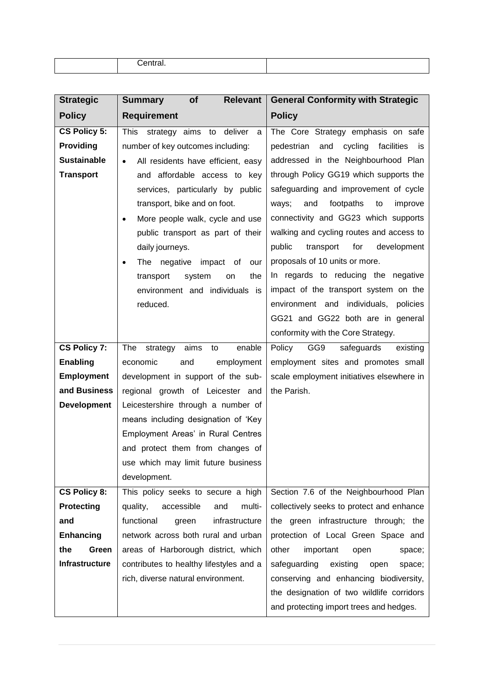| ----<br><u>onifai.</u> |  |
|------------------------|--|

| <b>Strategic</b>    | <b>Relevant</b><br>of<br><b>Summary</b>         | <b>General Conformity with Strategic</b>         |
|---------------------|-------------------------------------------------|--------------------------------------------------|
| <b>Policy</b>       | <b>Requirement</b>                              | <b>Policy</b>                                    |
| <b>CS Policy 5:</b> | <b>This</b><br>strategy aims to deliver<br>a    | The Core Strategy emphasis on safe               |
| Providing           | number of key outcomes including:               | cycling<br>facilities<br>pedestrian<br>and<br>İS |
| <b>Sustainable</b>  | All residents have efficient, easy<br>$\bullet$ | addressed in the Neighbourhood Plan              |
| <b>Transport</b>    | and affordable access to key                    | through Policy GG19 which supports the           |
|                     | services, particularly by public                | safeguarding and improvement of cycle            |
|                     | transport, bike and on foot.                    | footpaths<br>ways;<br>and<br>to<br>improve       |
|                     | More people walk, cycle and use<br>$\bullet$    | connectivity and GG23 which supports             |
|                     | public transport as part of their               | walking and cycling routes and access to         |
|                     | daily journeys.                                 | public<br>transport<br>for<br>development        |
|                     | The negative impact of<br>our<br>$\bullet$      | proposals of 10 units or more.                   |
|                     | system<br>the<br>transport<br>on                | In regards to reducing the negative              |
|                     | environment and individuals is                  | impact of the transport system on the            |
|                     | reduced.                                        | environment and individuals, policies            |
|                     |                                                 | GG21 and GG22 both are in general                |
|                     |                                                 | conformity with the Core Strategy.               |
| <b>CS Policy 7:</b> | aims<br>enable<br>The<br>strategy<br>to         | Policy GG9<br>safeguards<br>existing             |
| <b>Enabling</b>     | economic<br>and<br>employment                   | employment sites and promotes small              |
| <b>Employment</b>   | development in support of the sub-              | scale employment initiatives elsewhere in        |
| and Business        | regional growth of Leicester and                | the Parish.                                      |
| <b>Development</b>  | Leicestershire through a number of              |                                                  |
|                     | means including designation of 'Key             |                                                  |
|                     | Employment Areas' in Rural Centres              |                                                  |
|                     | and protect them from changes of                |                                                  |
|                     | use which may limit future business             |                                                  |
|                     | development.                                    |                                                  |
| <b>CS Policy 8:</b> | This policy seeks to secure a high              | Section 7.6 of the Neighbourhood Plan            |
| <b>Protecting</b>   | quality,<br>accessible<br>and<br>multi-         | collectively seeks to protect and enhance        |
| and                 | infrastructure<br>functional<br>green           | the green infrastructure through; the            |
| <b>Enhancing</b>    | network across both rural and urban             | protection of Local Green Space and              |
| the<br>Green        | areas of Harborough district, which             | other<br>important<br>open<br>space;             |
| Infrastructure      | contributes to healthy lifestyles and a         | safeguarding<br>existing<br>open<br>space;       |
|                     | rich, diverse natural environment.              | conserving and enhancing biodiversity,           |
|                     |                                                 | the designation of two wildlife corridors        |
|                     |                                                 | and protecting import trees and hedges.          |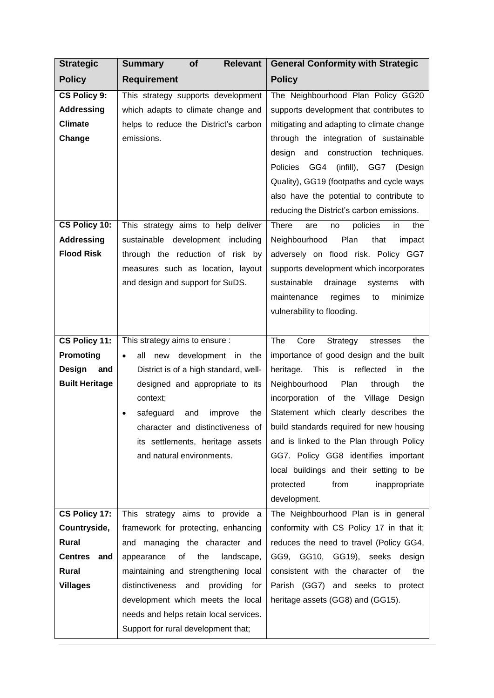| <b>Strategic</b>                                                     | <b>Relevant</b><br><b>Summary</b><br>of                                                                                         | <b>General Conformity with Strategic</b>                                                                                                                                                                                                                                                                                                                                                                         |
|----------------------------------------------------------------------|---------------------------------------------------------------------------------------------------------------------------------|------------------------------------------------------------------------------------------------------------------------------------------------------------------------------------------------------------------------------------------------------------------------------------------------------------------------------------------------------------------------------------------------------------------|
| <b>Policy</b>                                                        | <b>Requirement</b>                                                                                                              | <b>Policy</b>                                                                                                                                                                                                                                                                                                                                                                                                    |
| <b>CS Policy 9:</b><br><b>Addressing</b><br><b>Climate</b><br>Change | This strategy supports development<br>which adapts to climate change and<br>helps to reduce the District's carbon<br>emissions. | The Neighbourhood Plan Policy GG20<br>supports development that contributes to<br>mitigating and adapting to climate change<br>through the integration of sustainable<br>design<br>and<br>construction<br>techniques.<br>(infill), GG7<br><b>Policies</b><br>GG4<br>(Design<br>Quality), GG19 (footpaths and cycle ways<br>also have the potential to contribute to<br>reducing the District's carbon emissions. |
| CS Policy 10:                                                        | This strategy aims to help deliver                                                                                              | There<br>are<br>policies<br>in<br>the<br>no                                                                                                                                                                                                                                                                                                                                                                      |
| <b>Addressing</b>                                                    | sustainable development including                                                                                               | Plan<br>that<br>Neighbourhood<br>impact                                                                                                                                                                                                                                                                                                                                                                          |
| <b>Flood Risk</b>                                                    | through the reduction of risk by                                                                                                | adversely on flood risk. Policy GG7                                                                                                                                                                                                                                                                                                                                                                              |
|                                                                      | measures such as location, layout                                                                                               | supports development which incorporates                                                                                                                                                                                                                                                                                                                                                                          |
|                                                                      | and design and support for SuDS.                                                                                                | sustainable<br>drainage<br>with<br>systems<br>minimize<br>maintenance<br>regimes<br>to                                                                                                                                                                                                                                                                                                                           |
|                                                                      |                                                                                                                                 | vulnerability to flooding.                                                                                                                                                                                                                                                                                                                                                                                       |
|                                                                      |                                                                                                                                 |                                                                                                                                                                                                                                                                                                                                                                                                                  |
| CS Policy 11:                                                        | This strategy aims to ensure :                                                                                                  | The<br>Core<br>Strategy<br>stresses<br>the                                                                                                                                                                                                                                                                                                                                                                       |
| Promoting                                                            | all<br>development in<br>the<br>new                                                                                             | importance of good design and the built                                                                                                                                                                                                                                                                                                                                                                          |
| Design<br>and                                                        | District is of a high standard, well-                                                                                           | <b>This</b><br>reflected<br>heritage.<br>is<br>the<br>in.                                                                                                                                                                                                                                                                                                                                                        |
| <b>Built Heritage</b>                                                | designed and appropriate to its                                                                                                 | Neighbourhood<br>Plan<br>through<br>the                                                                                                                                                                                                                                                                                                                                                                          |
|                                                                      | context;                                                                                                                        | incorporation of<br>the<br>Village Design                                                                                                                                                                                                                                                                                                                                                                        |
|                                                                      | safeguard<br>the<br>and<br>improve                                                                                              | Statement which clearly describes the                                                                                                                                                                                                                                                                                                                                                                            |
|                                                                      | its settlements, heritage assets                                                                                                | character and distinctiveness of $\vert$ build standards required for new housing<br>and is linked to the Plan through Policy                                                                                                                                                                                                                                                                                    |
|                                                                      | and natural environments.                                                                                                       | GG7. Policy GG8 identifies important                                                                                                                                                                                                                                                                                                                                                                             |
|                                                                      |                                                                                                                                 | local buildings and their setting to be                                                                                                                                                                                                                                                                                                                                                                          |
|                                                                      |                                                                                                                                 | protected<br>from<br>inappropriate                                                                                                                                                                                                                                                                                                                                                                               |
|                                                                      |                                                                                                                                 | development.                                                                                                                                                                                                                                                                                                                                                                                                     |
| CS Policy 17:                                                        | This strategy aims to provide a                                                                                                 | The Neighbourhood Plan is in general                                                                                                                                                                                                                                                                                                                                                                             |
| Countryside,                                                         | framework for protecting, enhancing                                                                                             | conformity with CS Policy 17 in that it;                                                                                                                                                                                                                                                                                                                                                                         |
| <b>Rural</b>                                                         | and managing the character and                                                                                                  | reduces the need to travel (Policy GG4,                                                                                                                                                                                                                                                                                                                                                                          |
| <b>Centres</b><br>and                                                | 0f<br>the<br>landscape,<br>appearance                                                                                           | GG9, GG10, GG19), seeks design                                                                                                                                                                                                                                                                                                                                                                                   |
| <b>Rural</b>                                                         | maintaining and strengthening local                                                                                             | consistent with the character of<br>the                                                                                                                                                                                                                                                                                                                                                                          |
| <b>Villages</b>                                                      | distinctiveness and<br>providing for                                                                                            | Parish (GG7) and seeks to protect                                                                                                                                                                                                                                                                                                                                                                                |
|                                                                      | development which meets the local<br>needs and helps retain local services.                                                     | heritage assets (GG8) and (GG15).                                                                                                                                                                                                                                                                                                                                                                                |
|                                                                      | Support for rural development that;                                                                                             |                                                                                                                                                                                                                                                                                                                                                                                                                  |
|                                                                      |                                                                                                                                 |                                                                                                                                                                                                                                                                                                                                                                                                                  |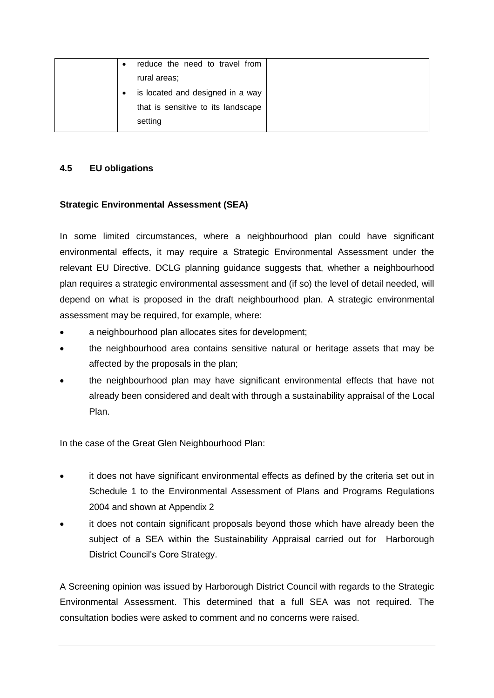| reduce the need to travel from<br>$\bullet$ |
|---------------------------------------------|
| rural areas;                                |
| is located and designed in a way            |
| that is sensitive to its landscape          |
| setting                                     |

#### **4.5 EU obligations**

#### **Strategic Environmental Assessment (SEA)**

In some limited circumstances, where a neighbourhood plan could have significant environmental effects, it may require a Strategic Environmental Assessment under the relevant EU Directive. DCLG planning guidance suggests that, whether a neighbourhood plan requires a strategic environmental assessment and (if so) the level of detail needed, will depend on what is proposed in the draft neighbourhood plan. A strategic environmental assessment may be required, for example, where:

- a neighbourhood plan allocates sites for development;
- the neighbourhood area contains sensitive natural or heritage assets that may be affected by the proposals in the plan;
- the neighbourhood plan may have significant environmental effects that have not already been considered and dealt with through a sustainability appraisal of the Local Plan.

In the case of the Great Glen Neighbourhood Plan:

- it does not have significant environmental effects as defined by the criteria set out in Schedule 1 to the Environmental Assessment of Plans and Programs Regulations 2004 and shown at Appendix 2
- it does not contain significant proposals beyond those which have already been the subject of a SEA within the Sustainability Appraisal carried out for Harborough District Council's Core Strategy.

A Screening opinion was issued by Harborough District Council with regards to the Strategic Environmental Assessment. This determined that a full SEA was not required. The consultation bodies were asked to comment and no concerns were raised.